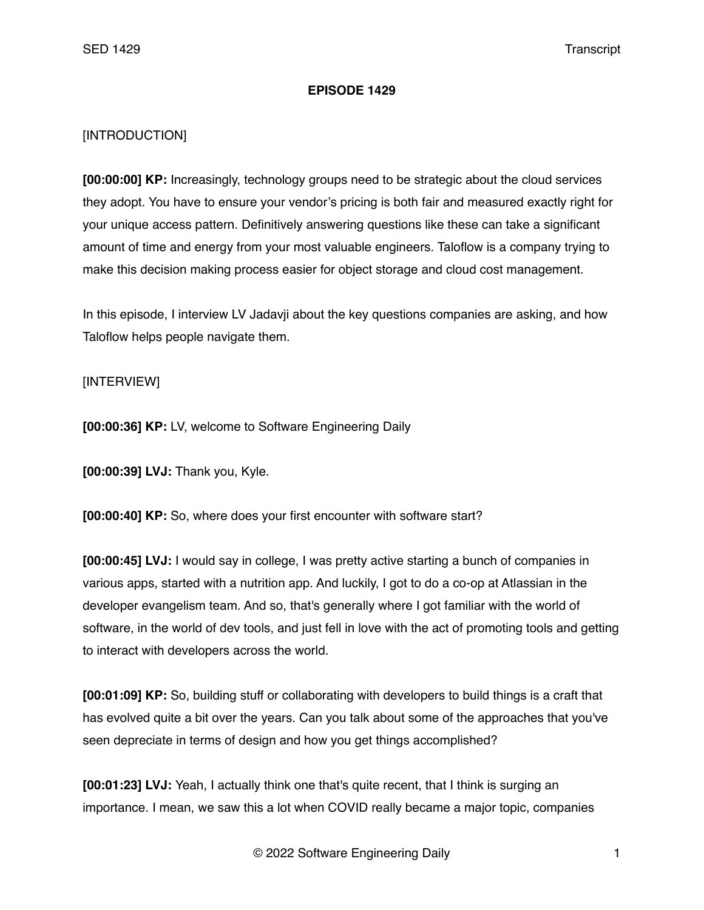## **EPISODE 1429**

## [INTRODUCTION]

**[00:00:00] KP:** Increasingly, technology groups need to be strategic about the cloud services they adopt. You have to ensure your vendor's pricing is both fair and measured exactly right for your unique access pattern. Definitively answering questions like these can take a significant amount of time and energy from your most valuable engineers. Taloflow is a company trying to make this decision making process easier for object storage and cloud cost management.

In this episode, I interview LV Jadavji about the key questions companies are asking, and how Taloflow helps people navigate them.

## [INTERVIEW]

**[00:00:36] KP:** LV, welcome to Software Engineering Daily

**[00:00:39] LVJ:** Thank you, Kyle.

**[00:00:40] KP:** So, where does your first encounter with software start?

**[00:00:45] LVJ:** I would say in college, I was pretty active starting a bunch of companies in various apps, started with a nutrition app. And luckily, I got to do a co-op at Atlassian in the developer evangelism team. And so, that's generally where I got familiar with the world of software, in the world of dev tools, and just fell in love with the act of promoting tools and getting to interact with developers across the world.

**[00:01:09] KP:** So, building stuff or collaborating with developers to build things is a craft that has evolved quite a bit over the years. Can you talk about some of the approaches that you've seen depreciate in terms of design and how you get things accomplished?

**[00:01:23] LVJ:** Yeah, I actually think one that's quite recent, that I think is surging an importance. I mean, we saw this a lot when COVID really became a major topic, companies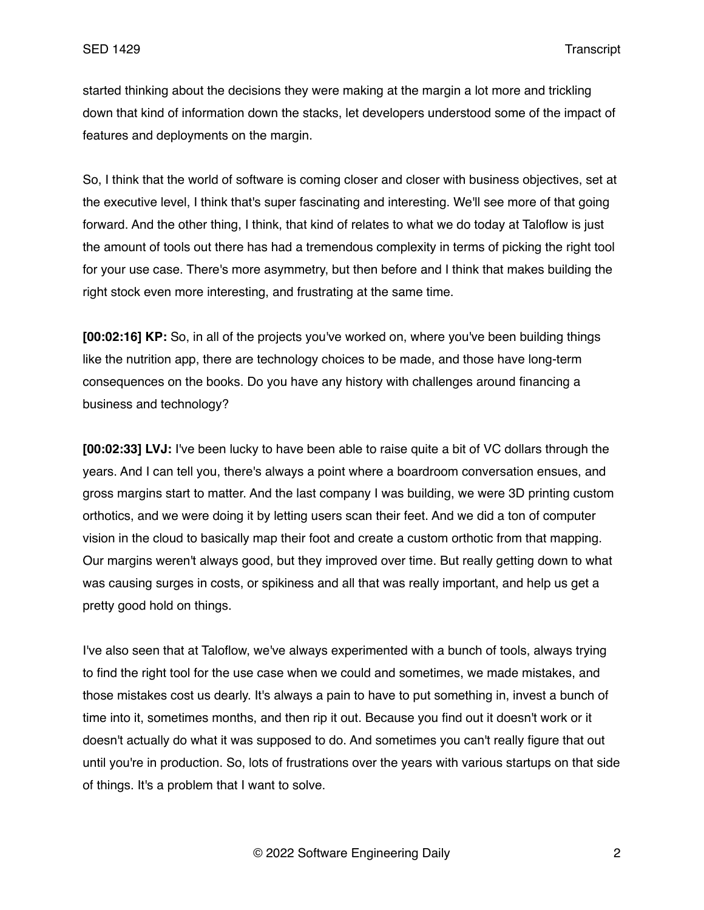started thinking about the decisions they were making at the margin a lot more and trickling down that kind of information down the stacks, let developers understood some of the impact of features and deployments on the margin.

So, I think that the world of software is coming closer and closer with business objectives, set at the executive level, I think that's super fascinating and interesting. We'll see more of that going forward. And the other thing, I think, that kind of relates to what we do today at Taloflow is just the amount of tools out there has had a tremendous complexity in terms of picking the right tool for your use case. There's more asymmetry, but then before and I think that makes building the right stock even more interesting, and frustrating at the same time.

**[00:02:16] KP:** So, in all of the projects you've worked on, where you've been building things like the nutrition app, there are technology choices to be made, and those have long-term consequences on the books. Do you have any history with challenges around financing a business and technology?

**[00:02:33] LVJ:** I've been lucky to have been able to raise quite a bit of VC dollars through the years. And I can tell you, there's always a point where a boardroom conversation ensues, and gross margins start to matter. And the last company I was building, we were 3D printing custom orthotics, and we were doing it by letting users scan their feet. And we did a ton of computer vision in the cloud to basically map their foot and create a custom orthotic from that mapping. Our margins weren't always good, but they improved over time. But really getting down to what was causing surges in costs, or spikiness and all that was really important, and help us get a pretty good hold on things.

I've also seen that at Taloflow, we've always experimented with a bunch of tools, always trying to find the right tool for the use case when we could and sometimes, we made mistakes, and those mistakes cost us dearly. It's always a pain to have to put something in, invest a bunch of time into it, sometimes months, and then rip it out. Because you find out it doesn't work or it doesn't actually do what it was supposed to do. And sometimes you can't really figure that out until you're in production. So, lots of frustrations over the years with various startups on that side of things. It's a problem that I want to solve.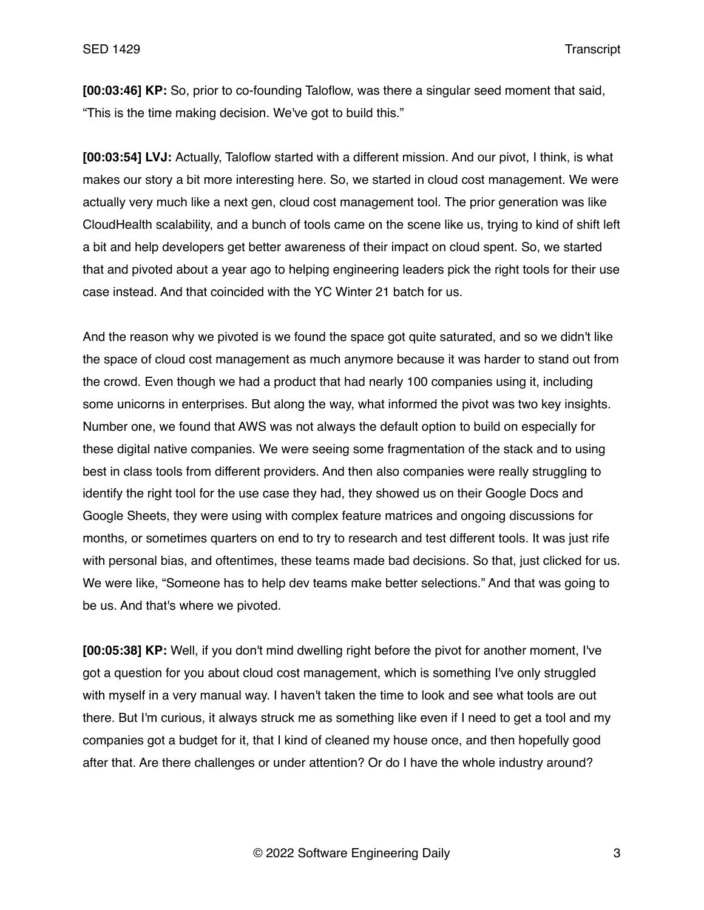**[00:03:46] KP:** So, prior to co-founding Taloflow, was there a singular seed moment that said, "This is the time making decision. We've got to build this."

**[00:03:54] LVJ:** Actually, Taloflow started with a different mission. And our pivot, I think, is what makes our story a bit more interesting here. So, we started in cloud cost management. We were actually very much like a next gen, cloud cost management tool. The prior generation was like CloudHealth scalability, and a bunch of tools came on the scene like us, trying to kind of shift left a bit and help developers get better awareness of their impact on cloud spent. So, we started that and pivoted about a year ago to helping engineering leaders pick the right tools for their use case instead. And that coincided with the YC Winter 21 batch for us.

And the reason why we pivoted is we found the space got quite saturated, and so we didn't like the space of cloud cost management as much anymore because it was harder to stand out from the crowd. Even though we had a product that had nearly 100 companies using it, including some unicorns in enterprises. But along the way, what informed the pivot was two key insights. Number one, we found that AWS was not always the default option to build on especially for these digital native companies. We were seeing some fragmentation of the stack and to using best in class tools from different providers. And then also companies were really struggling to identify the right tool for the use case they had, they showed us on their Google Docs and Google Sheets, they were using with complex feature matrices and ongoing discussions for months, or sometimes quarters on end to try to research and test different tools. It was just rife with personal bias, and oftentimes, these teams made bad decisions. So that, just clicked for us. We were like, "Someone has to help dev teams make better selections." And that was going to be us. And that's where we pivoted.

**[00:05:38] KP:** Well, if you don't mind dwelling right before the pivot for another moment, I've got a question for you about cloud cost management, which is something I've only struggled with myself in a very manual way. I haven't taken the time to look and see what tools are out there. But I'm curious, it always struck me as something like even if I need to get a tool and my companies got a budget for it, that I kind of cleaned my house once, and then hopefully good after that. Are there challenges or under attention? Or do I have the whole industry around?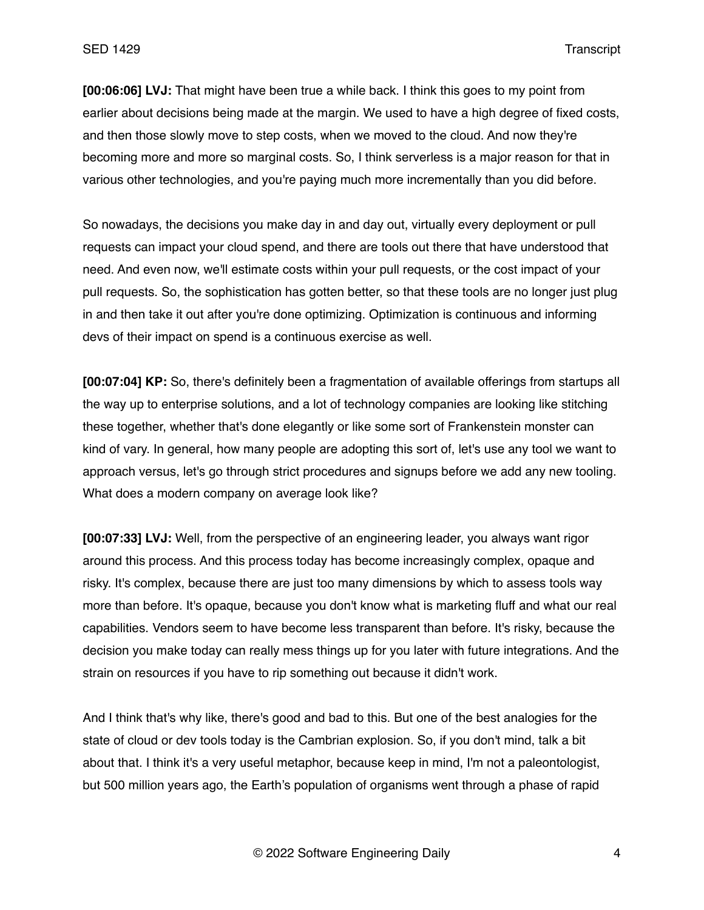**[00:06:06] LVJ:** That might have been true a while back. I think this goes to my point from earlier about decisions being made at the margin. We used to have a high degree of fixed costs, and then those slowly move to step costs, when we moved to the cloud. And now they're becoming more and more so marginal costs. So, I think serverless is a major reason for that in various other technologies, and you're paying much more incrementally than you did before.

So nowadays, the decisions you make day in and day out, virtually every deployment or pull requests can impact your cloud spend, and there are tools out there that have understood that need. And even now, we'll estimate costs within your pull requests, or the cost impact of your pull requests. So, the sophistication has gotten better, so that these tools are no longer just plug in and then take it out after you're done optimizing. Optimization is continuous and informing devs of their impact on spend is a continuous exercise as well.

**[00:07:04] KP:** So, there's definitely been a fragmentation of available offerings from startups all the way up to enterprise solutions, and a lot of technology companies are looking like stitching these together, whether that's done elegantly or like some sort of Frankenstein monster can kind of vary. In general, how many people are adopting this sort of, let's use any tool we want to approach versus, let's go through strict procedures and signups before we add any new tooling. What does a modern company on average look like?

**[00:07:33] LVJ:** Well, from the perspective of an engineering leader, you always want rigor around this process. And this process today has become increasingly complex, opaque and risky. It's complex, because there are just too many dimensions by which to assess tools way more than before. It's opaque, because you don't know what is marketing fluff and what our real capabilities. Vendors seem to have become less transparent than before. It's risky, because the decision you make today can really mess things up for you later with future integrations. And the strain on resources if you have to rip something out because it didn't work.

And I think that's why like, there's good and bad to this. But one of the best analogies for the state of cloud or dev tools today is the Cambrian explosion. So, if you don't mind, talk a bit about that. I think it's a very useful metaphor, because keep in mind, I'm not a paleontologist, but 500 million years ago, the Earth's population of organisms went through a phase of rapid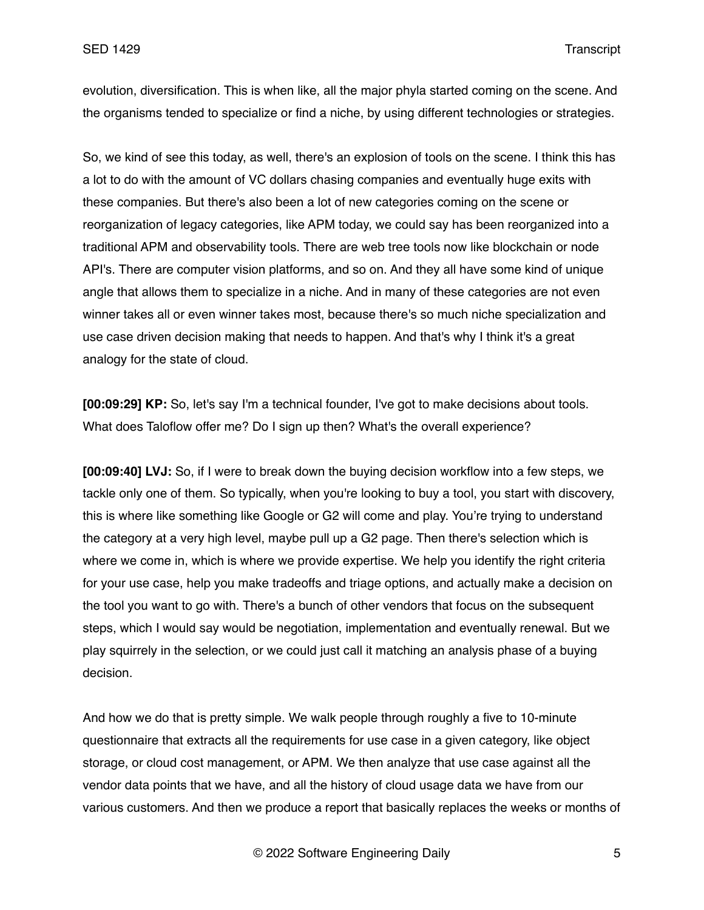evolution, diversification. This is when like, all the major phyla started coming on the scene. And the organisms tended to specialize or find a niche, by using different technologies or strategies.

So, we kind of see this today, as well, there's an explosion of tools on the scene. I think this has a lot to do with the amount of VC dollars chasing companies and eventually huge exits with these companies. But there's also been a lot of new categories coming on the scene or reorganization of legacy categories, like APM today, we could say has been reorganized into a traditional APM and observability tools. There are web tree tools now like blockchain or node API's. There are computer vision platforms, and so on. And they all have some kind of unique angle that allows them to specialize in a niche. And in many of these categories are not even winner takes all or even winner takes most, because there's so much niche specialization and use case driven decision making that needs to happen. And that's why I think it's a great analogy for the state of cloud.

**[00:09:29] KP:** So, let's say I'm a technical founder, I've got to make decisions about tools. What does Taloflow offer me? Do I sign up then? What's the overall experience?

**[00:09:40] LVJ:** So, if I were to break down the buying decision workflow into a few steps, we tackle only one of them. So typically, when you're looking to buy a tool, you start with discovery, this is where like something like Google or G2 will come and play. You're trying to understand the category at a very high level, maybe pull up a G2 page. Then there's selection which is where we come in, which is where we provide expertise. We help you identify the right criteria for your use case, help you make tradeoffs and triage options, and actually make a decision on the tool you want to go with. There's a bunch of other vendors that focus on the subsequent steps, which I would say would be negotiation, implementation and eventually renewal. But we play squirrely in the selection, or we could just call it matching an analysis phase of a buying decision.

And how we do that is pretty simple. We walk people through roughly a five to 10-minute questionnaire that extracts all the requirements for use case in a given category, like object storage, or cloud cost management, or APM. We then analyze that use case against all the vendor data points that we have, and all the history of cloud usage data we have from our various customers. And then we produce a report that basically replaces the weeks or months of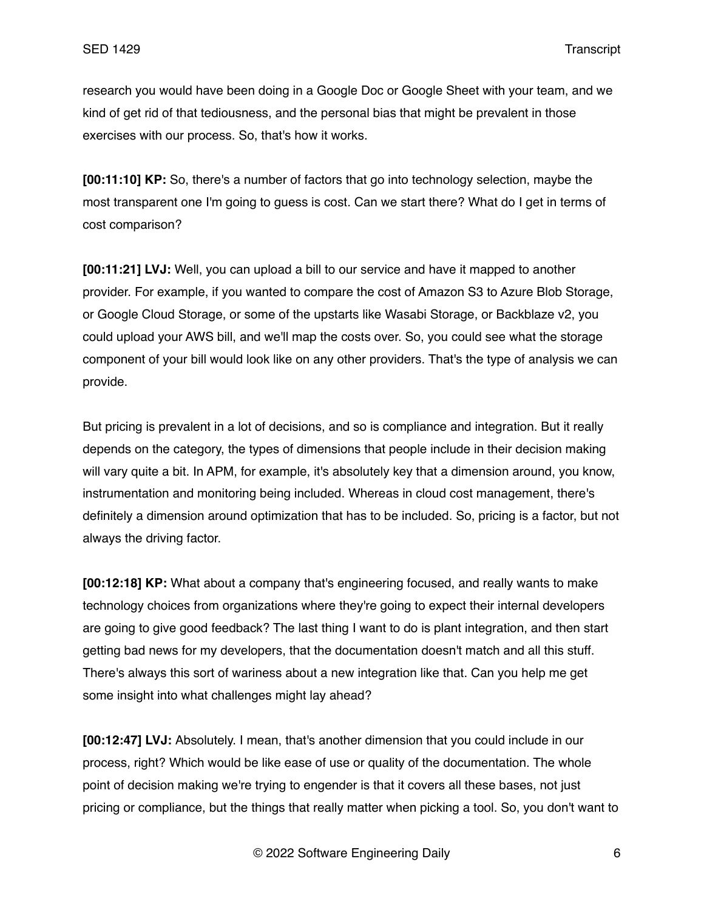research you would have been doing in a Google Doc or Google Sheet with your team, and we kind of get rid of that tediousness, and the personal bias that might be prevalent in those exercises with our process. So, that's how it works.

**[00:11:10] KP:** So, there's a number of factors that go into technology selection, maybe the most transparent one I'm going to guess is cost. Can we start there? What do I get in terms of cost comparison?

**[00:11:21] LVJ:** Well, you can upload a bill to our service and have it mapped to another provider. For example, if you wanted to compare the cost of Amazon S3 to Azure Blob Storage, or Google Cloud Storage, or some of the upstarts like Wasabi Storage, or Backblaze v2, you could upload your AWS bill, and we'll map the costs over. So, you could see what the storage component of your bill would look like on any other providers. That's the type of analysis we can provide.

But pricing is prevalent in a lot of decisions, and so is compliance and integration. But it really depends on the category, the types of dimensions that people include in their decision making will vary quite a bit. In APM, for example, it's absolutely key that a dimension around, you know, instrumentation and monitoring being included. Whereas in cloud cost management, there's definitely a dimension around optimization that has to be included. So, pricing is a factor, but not always the driving factor.

**[00:12:18] KP:** What about a company that's engineering focused, and really wants to make technology choices from organizations where they're going to expect their internal developers are going to give good feedback? The last thing I want to do is plant integration, and then start getting bad news for my developers, that the documentation doesn't match and all this stuff. There's always this sort of wariness about a new integration like that. Can you help me get some insight into what challenges might lay ahead?

**[00:12:47] LVJ:** Absolutely. I mean, that's another dimension that you could include in our process, right? Which would be like ease of use or quality of the documentation. The whole point of decision making we're trying to engender is that it covers all these bases, not just pricing or compliance, but the things that really matter when picking a tool. So, you don't want to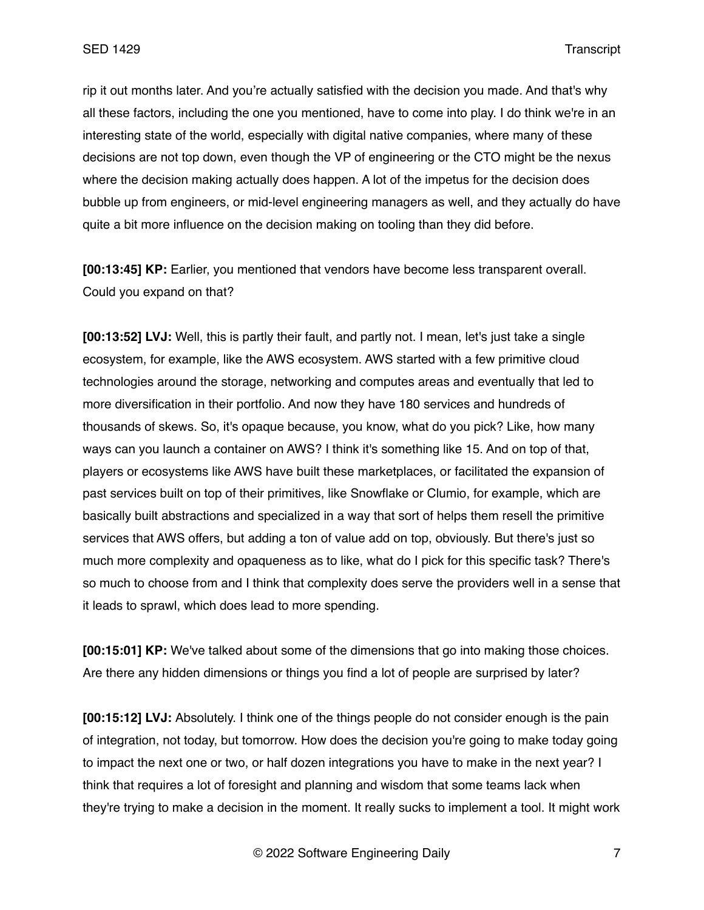rip it out months later. And you're actually satisfied with the decision you made. And that's why all these factors, including the one you mentioned, have to come into play. I do think we're in an interesting state of the world, especially with digital native companies, where many of these decisions are not top down, even though the VP of engineering or the CTO might be the nexus where the decision making actually does happen. A lot of the impetus for the decision does bubble up from engineers, or mid-level engineering managers as well, and they actually do have quite a bit more influence on the decision making on tooling than they did before.

**[00:13:45] KP:** Earlier, you mentioned that vendors have become less transparent overall. Could you expand on that?

**[00:13:52] LVJ:** Well, this is partly their fault, and partly not. I mean, let's just take a single ecosystem, for example, like the AWS ecosystem. AWS started with a few primitive cloud technologies around the storage, networking and computes areas and eventually that led to more diversification in their portfolio. And now they have 180 services and hundreds of thousands of skews. So, it's opaque because, you know, what do you pick? Like, how many ways can you launch a container on AWS? I think it's something like 15. And on top of that, players or ecosystems like AWS have built these marketplaces, or facilitated the expansion of past services built on top of their primitives, like Snowflake or Clumio, for example, which are basically built abstractions and specialized in a way that sort of helps them resell the primitive services that AWS offers, but adding a ton of value add on top, obviously. But there's just so much more complexity and opaqueness as to like, what do I pick for this specific task? There's so much to choose from and I think that complexity does serve the providers well in a sense that it leads to sprawl, which does lead to more spending.

**[00:15:01] KP:** We've talked about some of the dimensions that go into making those choices. Are there any hidden dimensions or things you find a lot of people are surprised by later?

**[00:15:12] LVJ:** Absolutely. I think one of the things people do not consider enough is the pain of integration, not today, but tomorrow. How does the decision you're going to make today going to impact the next one or two, or half dozen integrations you have to make in the next year? I think that requires a lot of foresight and planning and wisdom that some teams lack when they're trying to make a decision in the moment. It really sucks to implement a tool. It might work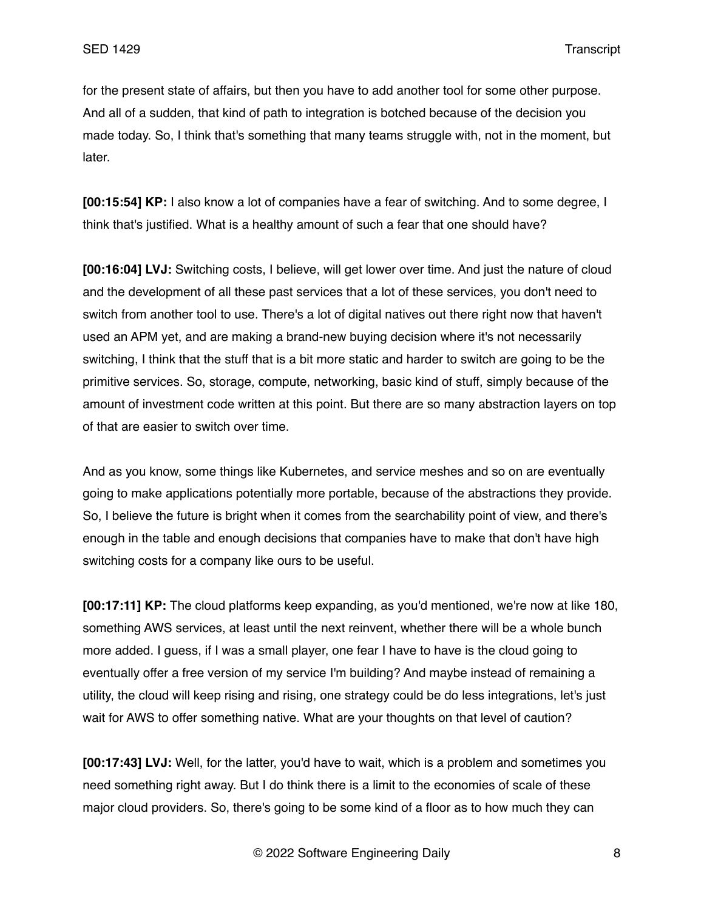for the present state of affairs, but then you have to add another tool for some other purpose. And all of a sudden, that kind of path to integration is botched because of the decision you made today. So, I think that's something that many teams struggle with, not in the moment, but later.

**[00:15:54] KP:** I also know a lot of companies have a fear of switching. And to some degree, I think that's justified. What is a healthy amount of such a fear that one should have?

**[00:16:04] LVJ:** Switching costs, I believe, will get lower over time. And just the nature of cloud and the development of all these past services that a lot of these services, you don't need to switch from another tool to use. There's a lot of digital natives out there right now that haven't used an APM yet, and are making a brand-new buying decision where it's not necessarily switching, I think that the stuff that is a bit more static and harder to switch are going to be the primitive services. So, storage, compute, networking, basic kind of stuff, simply because of the amount of investment code written at this point. But there are so many abstraction layers on top of that are easier to switch over time.

And as you know, some things like Kubernetes, and service meshes and so on are eventually going to make applications potentially more portable, because of the abstractions they provide. So, I believe the future is bright when it comes from the searchability point of view, and there's enough in the table and enough decisions that companies have to make that don't have high switching costs for a company like ours to be useful.

**[00:17:11] KP:** The cloud platforms keep expanding, as you'd mentioned, we're now at like 180, something AWS services, at least until the next reinvent, whether there will be a whole bunch more added. I guess, if I was a small player, one fear I have to have is the cloud going to eventually offer a free version of my service I'm building? And maybe instead of remaining a utility, the cloud will keep rising and rising, one strategy could be do less integrations, let's just wait for AWS to offer something native. What are your thoughts on that level of caution?

**[00:17:43] LVJ:** Well, for the latter, you'd have to wait, which is a problem and sometimes you need something right away. But I do think there is a limit to the economies of scale of these major cloud providers. So, there's going to be some kind of a floor as to how much they can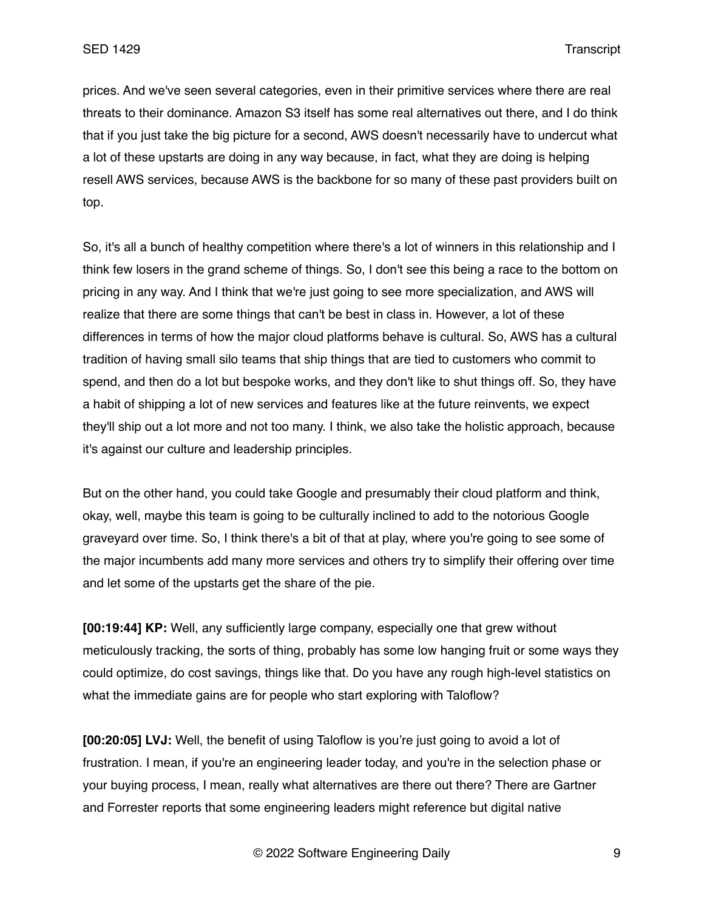prices. And we've seen several categories, even in their primitive services where there are real threats to their dominance. Amazon S3 itself has some real alternatives out there, and I do think that if you just take the big picture for a second, AWS doesn't necessarily have to undercut what a lot of these upstarts are doing in any way because, in fact, what they are doing is helping resell AWS services, because AWS is the backbone for so many of these past providers built on top.

So, it's all a bunch of healthy competition where there's a lot of winners in this relationship and I think few losers in the grand scheme of things. So, I don't see this being a race to the bottom on pricing in any way. And I think that we're just going to see more specialization, and AWS will realize that there are some things that can't be best in class in. However, a lot of these differences in terms of how the major cloud platforms behave is cultural. So, AWS has a cultural tradition of having small silo teams that ship things that are tied to customers who commit to spend, and then do a lot but bespoke works, and they don't like to shut things off. So, they have a habit of shipping a lot of new services and features like at the future reinvents, we expect they'll ship out a lot more and not too many. I think, we also take the holistic approach, because it's against our culture and leadership principles.

But on the other hand, you could take Google and presumably their cloud platform and think, okay, well, maybe this team is going to be culturally inclined to add to the notorious Google graveyard over time. So, I think there's a bit of that at play, where you're going to see some of the major incumbents add many more services and others try to simplify their offering over time and let some of the upstarts get the share of the pie.

**[00:19:44] KP:** Well, any sufficiently large company, especially one that grew without meticulously tracking, the sorts of thing, probably has some low hanging fruit or some ways they could optimize, do cost savings, things like that. Do you have any rough high-level statistics on what the immediate gains are for people who start exploring with Taloflow?

**[00:20:05] LVJ:** Well, the benefit of using Taloflow is you're just going to avoid a lot of frustration. I mean, if you're an engineering leader today, and you're in the selection phase or your buying process, I mean, really what alternatives are there out there? There are Gartner and Forrester reports that some engineering leaders might reference but digital native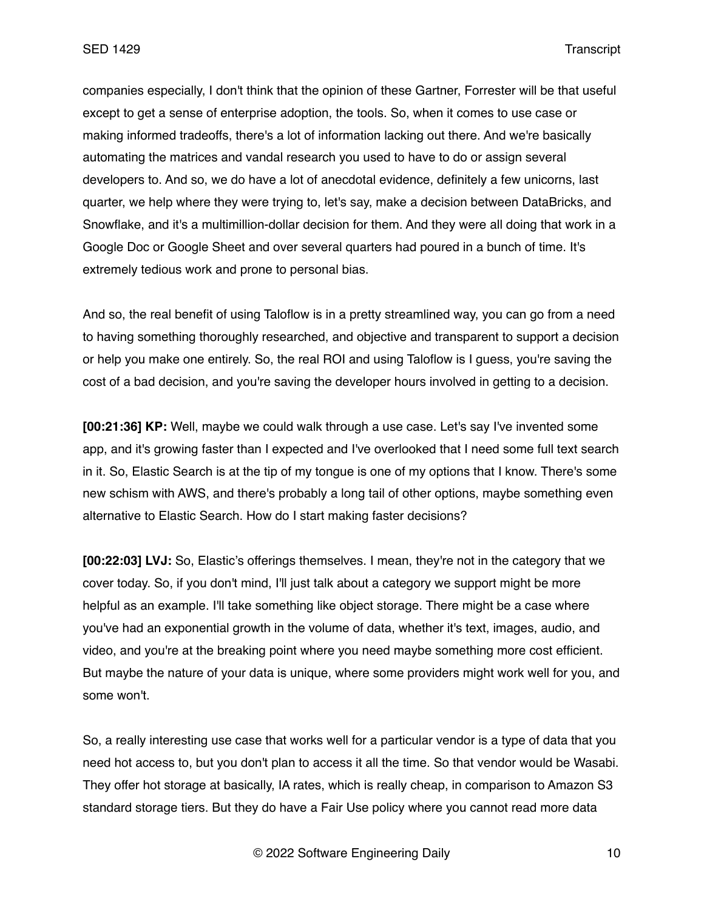companies especially, I don't think that the opinion of these Gartner, Forrester will be that useful except to get a sense of enterprise adoption, the tools. So, when it comes to use case or making informed tradeoffs, there's a lot of information lacking out there. And we're basically automating the matrices and vandal research you used to have to do or assign several developers to. And so, we do have a lot of anecdotal evidence, definitely a few unicorns, last quarter, we help where they were trying to, let's say, make a decision between DataBricks, and Snowflake, and it's a multimillion-dollar decision for them. And they were all doing that work in a Google Doc or Google Sheet and over several quarters had poured in a bunch of time. It's extremely tedious work and prone to personal bias.

And so, the real benefit of using Taloflow is in a pretty streamlined way, you can go from a need to having something thoroughly researched, and objective and transparent to support a decision or help you make one entirely. So, the real ROI and using Taloflow is I guess, you're saving the cost of a bad decision, and you're saving the developer hours involved in getting to a decision.

**[00:21:36] KP:** Well, maybe we could walk through a use case. Let's say I've invented some app, and it's growing faster than I expected and I've overlooked that I need some full text search in it. So, Elastic Search is at the tip of my tongue is one of my options that I know. There's some new schism with AWS, and there's probably a long tail of other options, maybe something even alternative to Elastic Search. How do I start making faster decisions?

**[00:22:03] LVJ:** So, Elastic's offerings themselves. I mean, they're not in the category that we cover today. So, if you don't mind, I'll just talk about a category we support might be more helpful as an example. I'll take something like object storage. There might be a case where you've had an exponential growth in the volume of data, whether it's text, images, audio, and video, and you're at the breaking point where you need maybe something more cost efficient. But maybe the nature of your data is unique, where some providers might work well for you, and some won't.

So, a really interesting use case that works well for a particular vendor is a type of data that you need hot access to, but you don't plan to access it all the time. So that vendor would be Wasabi. They offer hot storage at basically, IA rates, which is really cheap, in comparison to Amazon S3 standard storage tiers. But they do have a Fair Use policy where you cannot read more data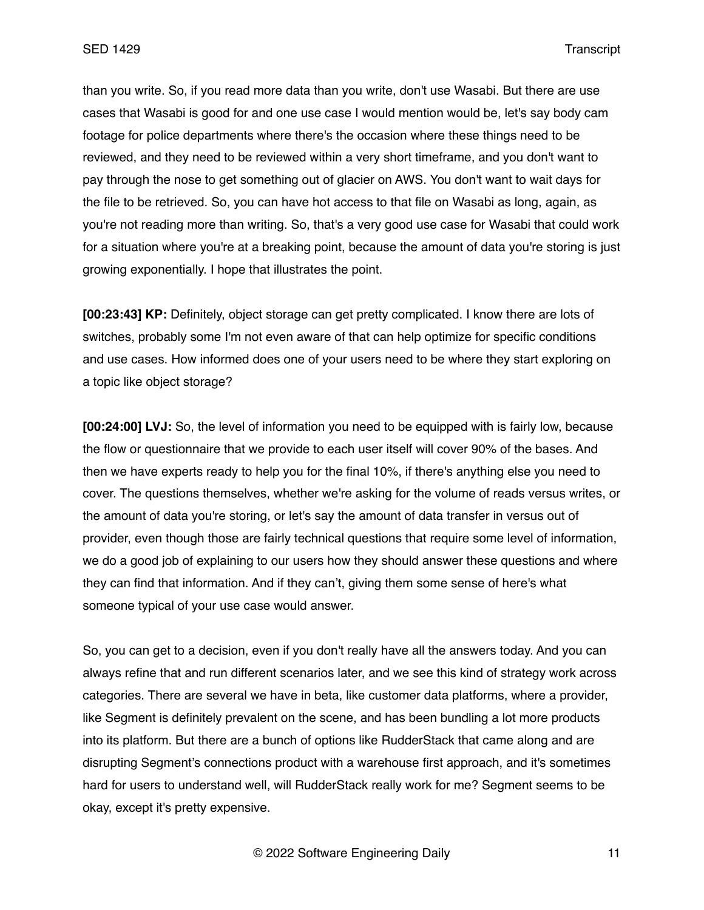than you write. So, if you read more data than you write, don't use Wasabi. But there are use cases that Wasabi is good for and one use case I would mention would be, let's say body cam footage for police departments where there's the occasion where these things need to be reviewed, and they need to be reviewed within a very short timeframe, and you don't want to pay through the nose to get something out of glacier on AWS. You don't want to wait days for the file to be retrieved. So, you can have hot access to that file on Wasabi as long, again, as you're not reading more than writing. So, that's a very good use case for Wasabi that could work for a situation where you're at a breaking point, because the amount of data you're storing is just growing exponentially. I hope that illustrates the point.

**[00:23:43] KP:** Definitely, object storage can get pretty complicated. I know there are lots of switches, probably some I'm not even aware of that can help optimize for specific conditions and use cases. How informed does one of your users need to be where they start exploring on a topic like object storage?

**[00:24:00] LVJ:** So, the level of information you need to be equipped with is fairly low, because the flow or questionnaire that we provide to each user itself will cover 90% of the bases. And then we have experts ready to help you for the final 10%, if there's anything else you need to cover. The questions themselves, whether we're asking for the volume of reads versus writes, or the amount of data you're storing, or let's say the amount of data transfer in versus out of provider, even though those are fairly technical questions that require some level of information, we do a good job of explaining to our users how they should answer these questions and where they can find that information. And if they can't, giving them some sense of here's what someone typical of your use case would answer.

So, you can get to a decision, even if you don't really have all the answers today. And you can always refine that and run different scenarios later, and we see this kind of strategy work across categories. There are several we have in beta, like customer data platforms, where a provider, like Segment is definitely prevalent on the scene, and has been bundling a lot more products into its platform. But there are a bunch of options like RudderStack that came along and are disrupting Segment's connections product with a warehouse first approach, and it's sometimes hard for users to understand well, will RudderStack really work for me? Segment seems to be okay, except it's pretty expensive.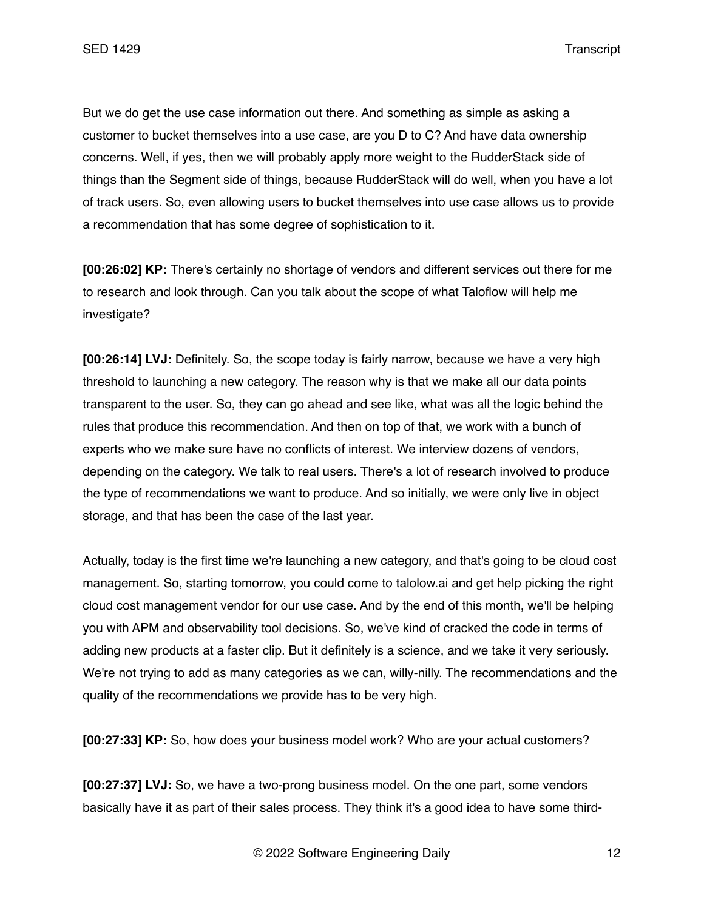But we do get the use case information out there. And something as simple as asking a customer to bucket themselves into a use case, are you D to C? And have data ownership concerns. Well, if yes, then we will probably apply more weight to the RudderStack side of things than the Segment side of things, because RudderStack will do well, when you have a lot of track users. So, even allowing users to bucket themselves into use case allows us to provide a recommendation that has some degree of sophistication to it.

**[00:26:02] KP:** There's certainly no shortage of vendors and different services out there for me to research and look through. Can you talk about the scope of what Taloflow will help me investigate?

**[00:26:14] LVJ:** Definitely. So, the scope today is fairly narrow, because we have a very high threshold to launching a new category. The reason why is that we make all our data points transparent to the user. So, they can go ahead and see like, what was all the logic behind the rules that produce this recommendation. And then on top of that, we work with a bunch of experts who we make sure have no conflicts of interest. We interview dozens of vendors, depending on the category. We talk to real users. There's a lot of research involved to produce the type of recommendations we want to produce. And so initially, we were only live in object storage, and that has been the case of the last year.

Actually, today is the first time we're launching a new category, and that's going to be cloud cost management. So, starting tomorrow, you could come to talolow.ai and get help picking the right cloud cost management vendor for our use case. And by the end of this month, we'll be helping you with APM and observability tool decisions. So, we've kind of cracked the code in terms of adding new products at a faster clip. But it definitely is a science, and we take it very seriously. We're not trying to add as many categories as we can, willy-nilly. The recommendations and the quality of the recommendations we provide has to be very high.

**[00:27:33] KP:** So, how does your business model work? Who are your actual customers?

**[00:27:37] LVJ:** So, we have a two-prong business model. On the one part, some vendors basically have it as part of their sales process. They think it's a good idea to have some third-

© 2022 Software Engineering Daily 12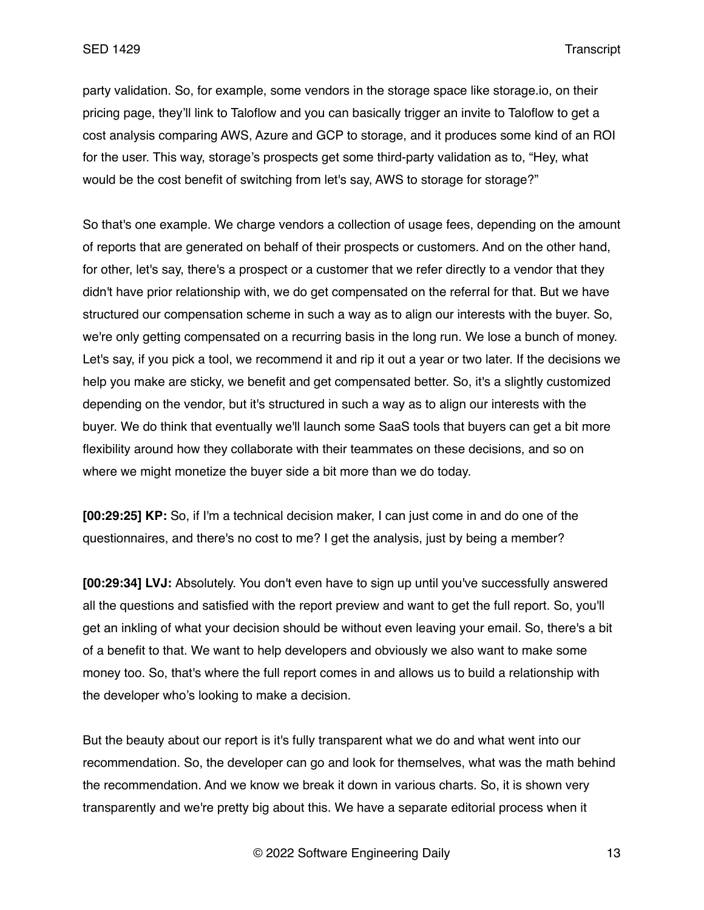party validation. So, for example, some vendors in the storage space like storage.io, on their pricing page, they'll link to Taloflow and you can basically trigger an invite to Taloflow to get a cost analysis comparing AWS, Azure and GCP to storage, and it produces some kind of an ROI for the user. This way, storage's prospects get some third-party validation as to, "Hey, what would be the cost benefit of switching from let's say, AWS to storage for storage?"

So that's one example. We charge vendors a collection of usage fees, depending on the amount of reports that are generated on behalf of their prospects or customers. And on the other hand, for other, let's say, there's a prospect or a customer that we refer directly to a vendor that they didn't have prior relationship with, we do get compensated on the referral for that. But we have structured our compensation scheme in such a way as to align our interests with the buyer. So, we're only getting compensated on a recurring basis in the long run. We lose a bunch of money. Let's say, if you pick a tool, we recommend it and rip it out a year or two later. If the decisions we help you make are sticky, we benefit and get compensated better. So, it's a slightly customized depending on the vendor, but it's structured in such a way as to align our interests with the buyer. We do think that eventually we'll launch some SaaS tools that buyers can get a bit more flexibility around how they collaborate with their teammates on these decisions, and so on where we might monetize the buyer side a bit more than we do today.

**[00:29:25] KP:** So, if I'm a technical decision maker, I can just come in and do one of the questionnaires, and there's no cost to me? I get the analysis, just by being a member?

**[00:29:34] LVJ:** Absolutely. You don't even have to sign up until you've successfully answered all the questions and satisfied with the report preview and want to get the full report. So, you'll get an inkling of what your decision should be without even leaving your email. So, there's a bit of a benefit to that. We want to help developers and obviously we also want to make some money too. So, that's where the full report comes in and allows us to build a relationship with the developer who's looking to make a decision.

But the beauty about our report is it's fully transparent what we do and what went into our recommendation. So, the developer can go and look for themselves, what was the math behind the recommendation. And we know we break it down in various charts. So, it is shown very transparently and we're pretty big about this. We have a separate editorial process when it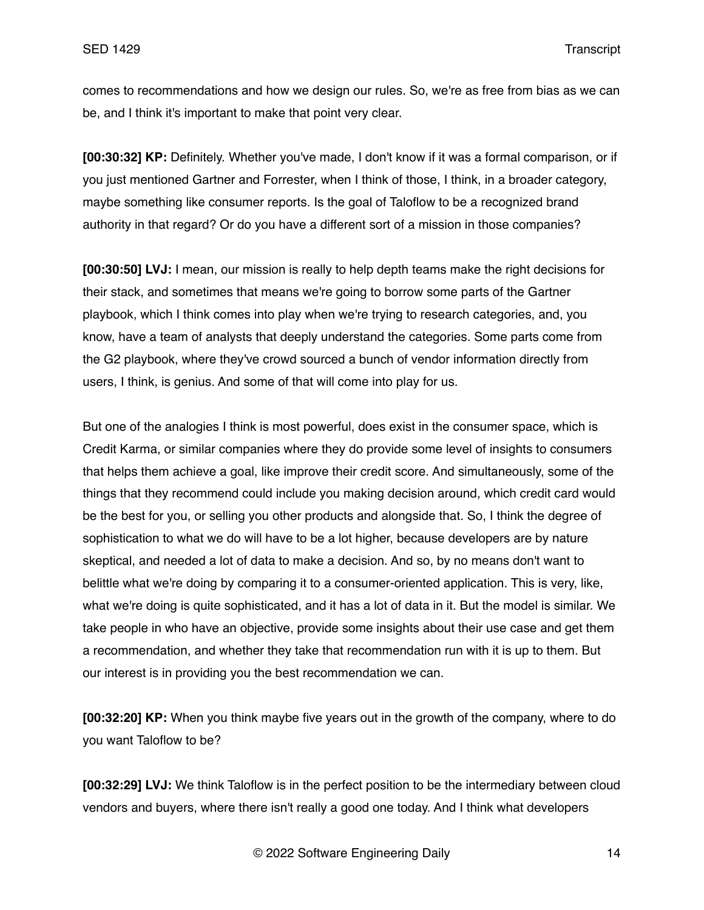comes to recommendations and how we design our rules. So, we're as free from bias as we can be, and I think it's important to make that point very clear.

**[00:30:32] KP:** Definitely. Whether you've made, I don't know if it was a formal comparison, or if you just mentioned Gartner and Forrester, when I think of those, I think, in a broader category, maybe something like consumer reports. Is the goal of Taloflow to be a recognized brand authority in that regard? Or do you have a different sort of a mission in those companies?

**[00:30:50] LVJ:** I mean, our mission is really to help depth teams make the right decisions for their stack, and sometimes that means we're going to borrow some parts of the Gartner playbook, which I think comes into play when we're trying to research categories, and, you know, have a team of analysts that deeply understand the categories. Some parts come from the G2 playbook, where they've crowd sourced a bunch of vendor information directly from users, I think, is genius. And some of that will come into play for us.

But one of the analogies I think is most powerful, does exist in the consumer space, which is Credit Karma, or similar companies where they do provide some level of insights to consumers that helps them achieve a goal, like improve their credit score. And simultaneously, some of the things that they recommend could include you making decision around, which credit card would be the best for you, or selling you other products and alongside that. So, I think the degree of sophistication to what we do will have to be a lot higher, because developers are by nature skeptical, and needed a lot of data to make a decision. And so, by no means don't want to belittle what we're doing by comparing it to a consumer-oriented application. This is very, like, what we're doing is quite sophisticated, and it has a lot of data in it. But the model is similar. We take people in who have an objective, provide some insights about their use case and get them a recommendation, and whether they take that recommendation run with it is up to them. But our interest is in providing you the best recommendation we can.

**[00:32:20] KP:** When you think maybe five years out in the growth of the company, where to do you want Taloflow to be?

**[00:32:29] LVJ:** We think Taloflow is in the perfect position to be the intermediary between cloud vendors and buyers, where there isn't really a good one today. And I think what developers

© 2022 Software Engineering Daily 14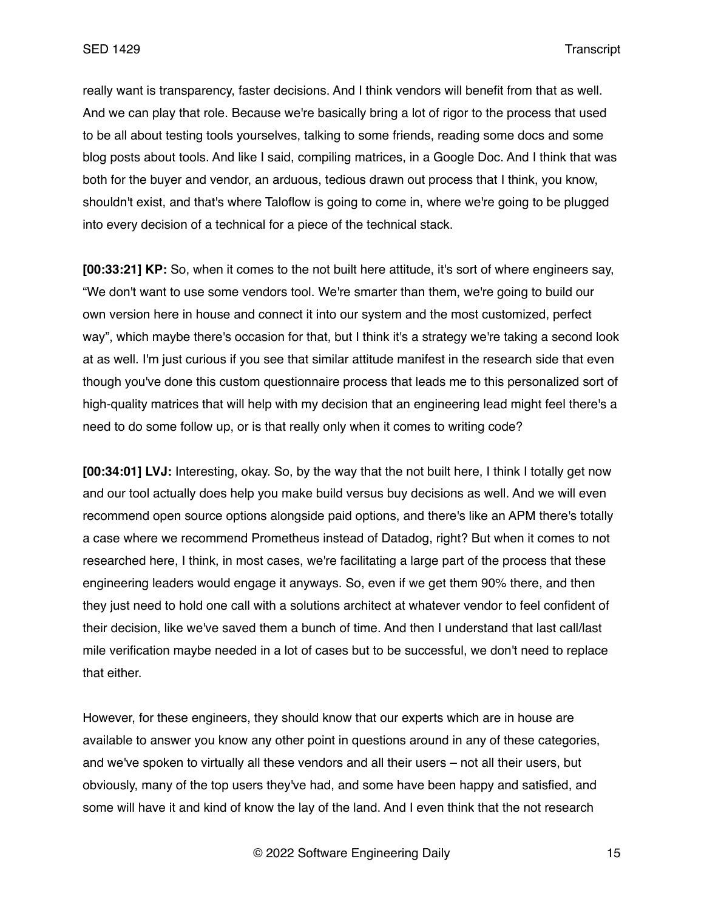really want is transparency, faster decisions. And I think vendors will benefit from that as well. And we can play that role. Because we're basically bring a lot of rigor to the process that used to be all about testing tools yourselves, talking to some friends, reading some docs and some blog posts about tools. And like I said, compiling matrices, in a Google Doc. And I think that was both for the buyer and vendor, an arduous, tedious drawn out process that I think, you know, shouldn't exist, and that's where Taloflow is going to come in, where we're going to be plugged into every decision of a technical for a piece of the technical stack.

**[00:33:21] KP:** So, when it comes to the not built here attitude, it's sort of where engineers say, "We don't want to use some vendors tool. We're smarter than them, we're going to build our own version here in house and connect it into our system and the most customized, perfect way", which maybe there's occasion for that, but I think it's a strategy we're taking a second look at as well. I'm just curious if you see that similar attitude manifest in the research side that even though you've done this custom questionnaire process that leads me to this personalized sort of high-quality matrices that will help with my decision that an engineering lead might feel there's a need to do some follow up, or is that really only when it comes to writing code?

**[00:34:01] LVJ:** Interesting, okay. So, by the way that the not built here, I think I totally get now and our tool actually does help you make build versus buy decisions as well. And we will even recommend open source options alongside paid options, and there's like an APM there's totally a case where we recommend Prometheus instead of Datadog, right? But when it comes to not researched here, I think, in most cases, we're facilitating a large part of the process that these engineering leaders would engage it anyways. So, even if we get them 90% there, and then they just need to hold one call with a solutions architect at whatever vendor to feel confident of their decision, like we've saved them a bunch of time. And then I understand that last call/last mile verification maybe needed in a lot of cases but to be successful, we don't need to replace that either.

However, for these engineers, they should know that our experts which are in house are available to answer you know any other point in questions around in any of these categories, and we've spoken to virtually all these vendors and all their users – not all their users, but obviously, many of the top users they've had, and some have been happy and satisfied, and some will have it and kind of know the lay of the land. And I even think that the not research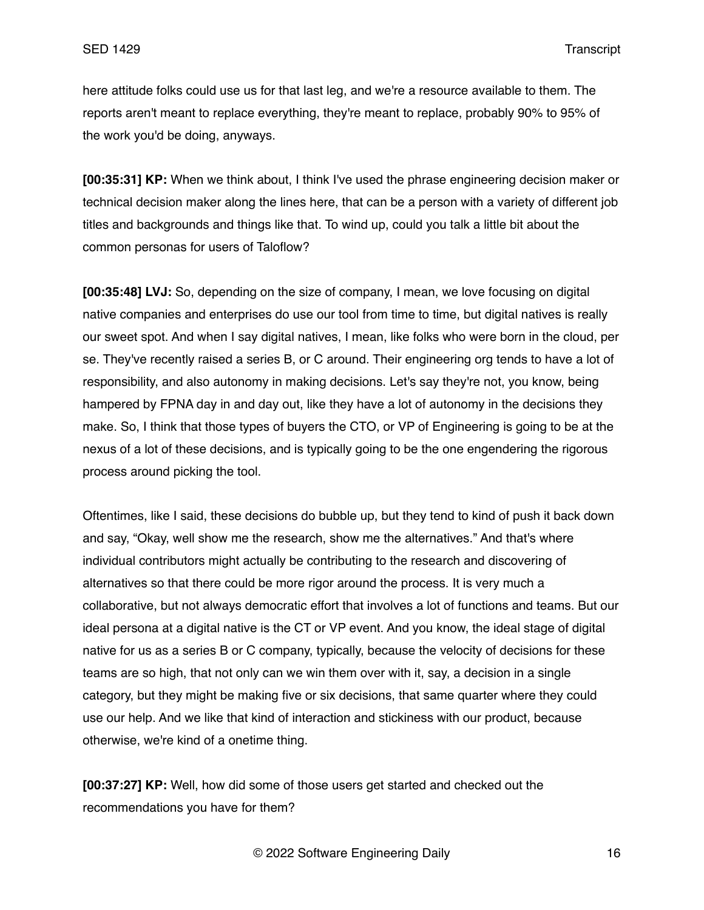here attitude folks could use us for that last leg, and we're a resource available to them. The reports aren't meant to replace everything, they're meant to replace, probably 90% to 95% of the work you'd be doing, anyways.

**[00:35:31] KP:** When we think about, I think I've used the phrase engineering decision maker or technical decision maker along the lines here, that can be a person with a variety of different job titles and backgrounds and things like that. To wind up, could you talk a little bit about the common personas for users of Taloflow?

**[00:35:48] LVJ:** So, depending on the size of company, I mean, we love focusing on digital native companies and enterprises do use our tool from time to time, but digital natives is really our sweet spot. And when I say digital natives, I mean, like folks who were born in the cloud, per se. They've recently raised a series B, or C around. Their engineering org tends to have a lot of responsibility, and also autonomy in making decisions. Let's say they're not, you know, being hampered by FPNA day in and day out, like they have a lot of autonomy in the decisions they make. So, I think that those types of buyers the CTO, or VP of Engineering is going to be at the nexus of a lot of these decisions, and is typically going to be the one engendering the rigorous process around picking the tool.

Oftentimes, like I said, these decisions do bubble up, but they tend to kind of push it back down and say, "Okay, well show me the research, show me the alternatives." And that's where individual contributors might actually be contributing to the research and discovering of alternatives so that there could be more rigor around the process. It is very much a collaborative, but not always democratic effort that involves a lot of functions and teams. But our ideal persona at a digital native is the CT or VP event. And you know, the ideal stage of digital native for us as a series B or C company, typically, because the velocity of decisions for these teams are so high, that not only can we win them over with it, say, a decision in a single category, but they might be making five or six decisions, that same quarter where they could use our help. And we like that kind of interaction and stickiness with our product, because otherwise, we're kind of a onetime thing.

**[00:37:27] KP:** Well, how did some of those users get started and checked out the recommendations you have for them?